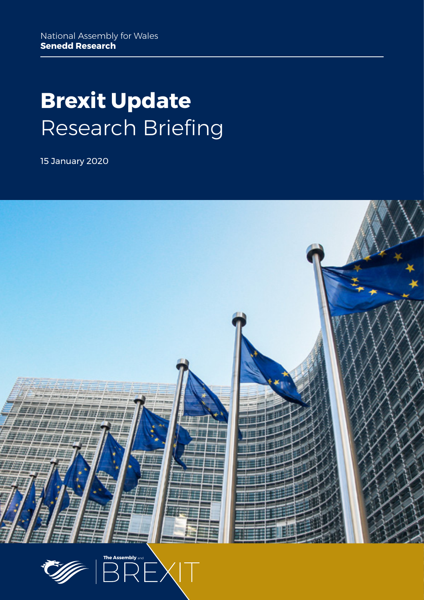# **Brexit Update** Research Briefing

15 January 2020



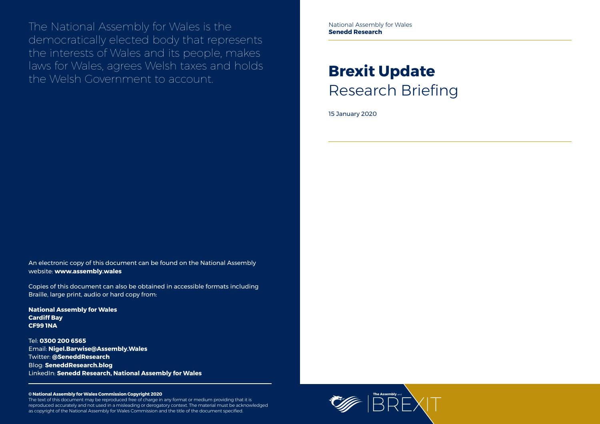

The National Assembly for Wales is the democratically elected body that represents the interests of Wales and its people, makes laws for Wales, agrees Welsh taxes and holds the Welsh Government to account.

#### **© National Assembly for Wales Commission Copyright 2020**

The text of this document may be reproduced free of charge in any format or medium providing that it is reproduced accurately and not used in a misleading or derogatory context. The material must be acknowledged as copyright of the National Assembly for Wales Commission and the title of the document specified.

# **Brexit Update** Research Briefing

15 January 2020

An electronic copy of this document can be found on the National Assembly website: **www.assembly.wales**

Copies of this document can also be obtained in accessible formats including Braille, large print, audio or hard copy from:

**National Assembly for Wales Cardiff Bay CF99 1NA**

Tel: **0300 200 6565** Email: **[Nigel.Barwise@Assembly.Wales](mailto:Nigel.Barwise%40Assembly.Wales?subject=)** Twitter: **[@SeneddResearch](http://www.twitter.com/@SeneddResearch)** Blog: **[SeneddResearch.blog](http://SeneddResearch.blog)** LinkedIn: **Senedd Research, National Assembly for Wales** National Assembly for Wales **Senedd Research**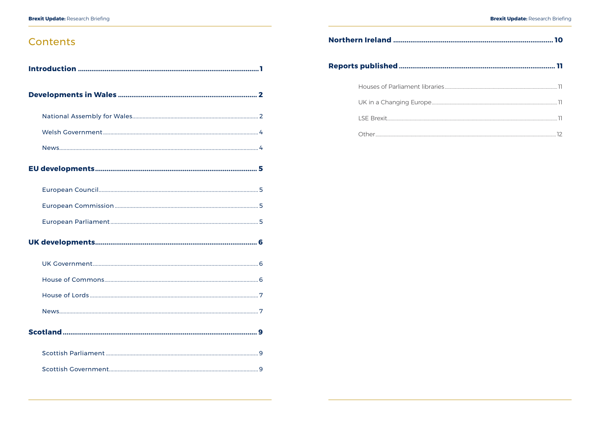# Contents

# Northern Ireland .................................. Reports published ................................. Houses of Parliament libraries......... UK in a Changing Europe.....................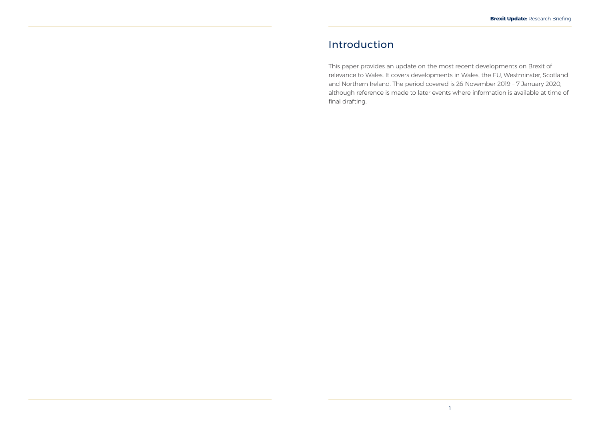# <span id="page-3-0"></span>Introduction

This paper provides an update on the most recent developments on Brexit of relevance to Wales. It covers developments in Wales, the EU, Westminster, Scotland and Northern Ireland. The period covered is 26 November 2019 – 7 January 2020, although reference is made to later events where information is available at time of final drafting.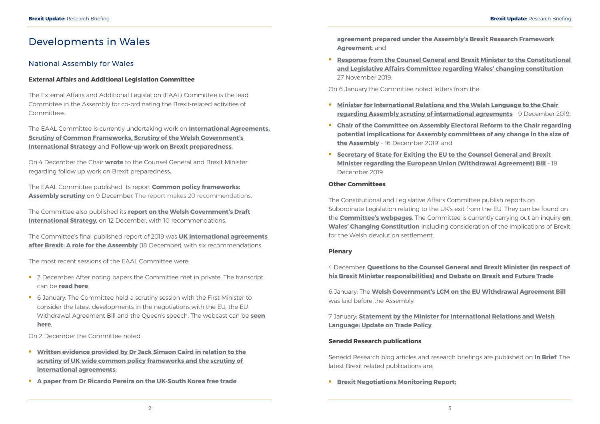# <span id="page-4-0"></span>Developments in Wales

## National Assembly for Wales

### **External Affairs and Additional Legislation Committee**

The External Affairs and Additional Legislation (EAAL) Committee is the lead Committee in the Assembly for co-ordinating the Brexit-related activities of Committees.

The Committee also published its **[report on the Welsh Government's Draft](https://www.assembly.wales/laid%20documents/cr-ld12928/cr-ld12928%20-e.pdf)  [International Strategy](https://www.assembly.wales/laid%20documents/cr-ld12928/cr-ld12928%20-e.pdf)**, on 12 December, with 10 recommendations.

The EAAL Committee is currently undertaking work on **[International Agreements,](http://senedd.assembly.wales/mgIssueHistoryHome.aspx?IId=25276) [Scrutiny of Common Frameworks](http://senedd.assembly.wales/mgIssueHistoryHome.aspx?IId=23807), [Scrutiny of the Welsh Government's](http://senedd.assembly.wales/mgIssueHistoryHome.aspx?IId=26987)  [International Strategy](http://senedd.assembly.wales/mgIssueHistoryHome.aspx?IId=26987)** and **[Follow-up work on Brexit preparedness](http://senedd.assembly.wales/mgIssueHistoryHome.aspx?IId=25020&Opt=0)**.

On 4 December the Chair **[wrote](http://senedd.assembly.wales/documents/s96507/Correspondence%20from%20the%20Chair%20to%20the%20Counsel%20General%20and%20Brexit%20Minister%20regarding%20follow-up%20work%20on.pdf)** to the Counsel General and Brexit Minister regarding follow up work on Brexit preparedness**.**

The EAAL Committee published its report **[Common policy frameworks:](https://www.assembly.wales/laid%20documents/cr-ld12915/cr-ld12915%20-e.pdf)  [Assembly scrutiny](https://www.assembly.wales/laid%20documents/cr-ld12915/cr-ld12915%20-e.pdf)** on 9 December. The report makes 20 recommendations.

- <sup>2</sup> 2 December: After noting papers the Committee met in private. The transcript can be **[read here](https://record.assembly.wales/Committee/5647)**.
- 6 January: The Committee held a scrutiny session with the First Minister to consider the latest developments in the negotiations with the EU, the EU Withdrawal Agreement Bill and the Queen's speech. The webcast can be **[seen](http://www.senedd.tv/Meeting/Archive/df77a70e-b943-456a-b7c3-4831d1c314cb?autostart=True)  [here](http://www.senedd.tv/Meeting/Archive/df77a70e-b943-456a-b7c3-4831d1c314cb?autostart=True)**.

- **Written evidence provided by Dr Jack Simson Caird in relation to the [scrutiny of UK-wide common policy frameworks and the scrutiny of](http://senedd.assembly.wales/documents/s96330/Written%20evidence%20provided%20by%20Dr%20Jack%20Simson%20Caird.pdf)  [international agreements](http://senedd.assembly.wales/documents/s96330/Written%20evidence%20provided%20by%20Dr%20Jack%20Simson%20Caird.pdf)**;
- **[A paper from Dr Ricardo Pereira on the UK-South Korea free trade](http://senedd.assembly.wales/documents/s96352/UK-South%20Korea%20free%20trade%20agreement%20-%20Dr%20Ricardo%20Pereira.pdf)**

**Response from the Counsel General and Brexit Minister to the Constitutional [and Legislative Affairs Committee regarding Wales' changing constitution](http://senedd.assembly.wales/documents/s96363/Response%20from%20the%20Counsel%20General%20and%20Brexit%20Minister%20to%20the%20Constitutional%20and%20Legislative%20Affairs%20.pdf)** - 27 November 2019.

The Committee's final published report of 2019 was **[UK international agreements](https://www.assembly.wales/laid%20documents/cr-ld12935/cr-ld12935%20-e.pdf)  [after Brexit: A role for the Assembly](https://www.assembly.wales/laid%20documents/cr-ld12935/cr-ld12935%20-e.pdf)** (18 December), with six recommendations.

The most recent sessions of the EAAL Committee were:

- **Minister for International Relations and the Welsh Language to the Chair**
- **[Chair of the Committee on Assembly Electoral Reform to the Chair regarding](http://senedd.assembly.wales/documents/s96917/Correspondence%20from%20the%20Chair%20of%20the%20Committee%20on%20Assembly%20Electoral%20Reform%20to%20the%20Chair%20regarding%20p.pdf)  [potential implications for Assembly committees of any change in the size of](http://senedd.assembly.wales/documents/s96917/Correspondence%20from%20the%20Chair%20of%20the%20Committee%20on%20Assembly%20Electoral%20Reform%20to%20the%20Chair%20regarding%20p.pdf)  [the Assembly](http://senedd.assembly.wales/documents/s96917/Correspondence%20from%20the%20Chair%20of%20the%20Committee%20on%20Assembly%20Electoral%20Reform%20to%20the%20Chair%20regarding%20p.pdf)** - 16 December 2019' and
- **F** Secretary of State for Exiting the EU to the Counsel General and Brexit **[Minister regarding the European Union \(Withdrawal Agreement\) Bill](http://senedd.assembly.wales/documents/s96978/Correspondence%20from%20the%20Secretary%20of%20State%20for%20Exiting%20the%20EU%20to%20the%20Counsel%20General%20and%20Brexit%20Mini.pdf)** - 18 December 2019.

On 2 December the Committee noted:

**[agreement](http://senedd.assembly.wales/documents/s96352/UK-South%20Korea%20free%20trade%20agreement%20-%20Dr%20Ricardo%20Pereira.pdf) prepared under the Assembly's Brexit Research Framework Agreement**; and

On 6 January the Committee noted letters from the:

**[regarding Assembly scrutiny of international agreements](http://senedd.assembly.wales/documents/s96979/Correspondence%20from%20the%20Minister%20for%20International%20Relations%20and%20the%20Welsh%20Language%20to%20the%20Chair%20reg.pdf)** - 9 December 2019;

#### **Other Committees**

The Constitutional and Legislative Affairs Committee publish reports on Subordinate Legislation relating to the UK's exit from the EU. They can be found on the **[Committee's webpages](http://senedd.assembly.wales/mgIssueHistoryHome.aspx?IId=20735)**. The Committee is currently carrying out an inquiry **[on](http://www.senedd.assembly.wales/mgIssueHistoryHome.aspx?IId=25963)  [Wales' Changing Constitution](http://www.senedd.assembly.wales/mgIssueHistoryHome.aspx?IId=25963)** including consideration of the implications of Brexit for the Welsh devolution settlement.

#### **Plenary**

4 December: **[Questions to the Counsel General and Brexit Minister \(in respect of](https://record.assembly.wales/Plenary/6048)  [his Brexit Minister responsibilities\) and Debate on Brexit and Future Trade](https://record.assembly.wales/Plenary/6048)**.

6 January: The **[Welsh Government's LCM on the EU Withdrawal Agreement Bill](https://www.assembly.wales/laid%20documents/lcm-ld12940/lcm-ld12940%20-e.pdf)** was laid before the Assembly.

7 January: **[Statement by the Minister for International Relations and Welsh](https://record.assembly.wales/Plenary/6071)  [Language: Update on Trade Policy](https://record.assembly.wales/Plenary/6071)**.

#### **Senedd Research publications**

Senedd Research blog articles and research briefings are published on **[In Brief](https://assemblyinbrief.wordpress.com/)**. The latest Brexit related publications are:

**F** [Brexit Negotiations Monitoring Report](https://www.assembly.wales/Research%20Documents/20-001-BMR/01%20-%20Brexit%20Monitoring%20-%20English%20-%20Web.pdf);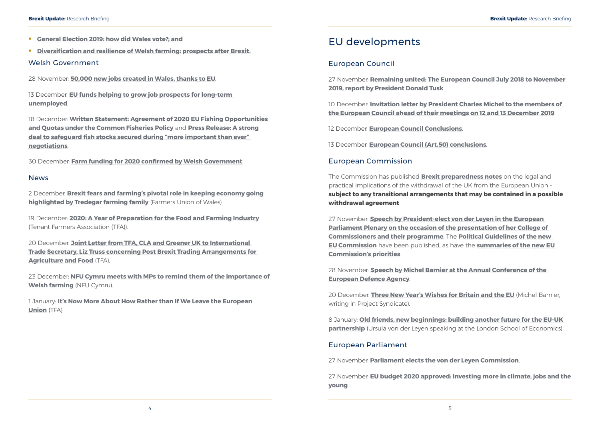- <span id="page-5-0"></span>**[General Election 2019: how did Wales vote?;](https://seneddresearch.blog/2019/12/13/general-election-2019-how-did-wales-vote/) and**
- **[Diversification and resilience of Welsh farming: prospects after Brexit](https://seneddresearch.blog/2019/12/19/diversification-and-resilience-of-welsh-farming-prospects-after-brexit/).**

### Welsh Government

28 November: **[50,000 new jobs created in Wales, thanks to EU](https://gov.wales/50000-new-jobs-created-in-wales-thanks-to-eu)**.

13 December: **[EU funds helping to grow job prospects for long-term](https://gov.wales/eu-funds-helping-to-grow-job-prospects-for-long-term-unemployed)  [unemployed](https://gov.wales/eu-funds-helping-to-grow-job-prospects-for-long-term-unemployed)**.

18 December: **[Written Statement: Agreement of 2020 EU Fishing Opportunities](https://gov.wales/written-statement-agreement-2020-eu-fishing-opportunities-and-quotas-under-common-fisheries-policy)  [and Quotas under the Common Fisheries Policy](https://gov.wales/written-statement-agreement-2020-eu-fishing-opportunities-and-quotas-under-common-fisheries-policy)** and **[Press Release: A strong](https://gov.wales/strong-deal-safeguard-fish-stocks-secured-during-more-important-ever-negotiations)  [deal to safeguard fish stocks secured during "more important than ever"](https://gov.wales/strong-deal-safeguard-fish-stocks-secured-during-more-important-ever-negotiations)  [negotiations](https://gov.wales/strong-deal-safeguard-fish-stocks-secured-during-more-important-ever-negotiations)**.

30 December: **[Farm funding for 2020 confirmed by Welsh Government](https://gov.wales/farm-funding-2020-confirmed-welsh-government)**.

#### **News**

2 December: **[Brexit fears and farming's pivotal role in keeping economy going](https://fuw.org.uk/en/news/13715-brexit-fears-and-farmings-pivotal-role-in-keeping-economy-going-highlighted-by-tredegar-farming-family)  [highlighted by Tredegar farming family](https://fuw.org.uk/en/news/13715-brexit-fears-and-farmings-pivotal-role-in-keeping-economy-going-highlighted-by-tredegar-farming-family)** (Farmers Union of Wales).

19 December: **[2020: A Year of Preparation for the Food and Farming Industry](https://www.tfa.org.uk/tfa-media-release-mr19-48-2020-a-year-of-preparation-for-the-food-and-farming-industry/)** (Tenant Farmers Association (TFA)).

20 December: **[Joint Letter from TFA, CLA and Greener UK to International](https://www.tfa.org.uk/wp-content/uploads/2019/12/19December20Truss_CLA_TFA_GreenerUK-002.pdf)  [Trade Secretary, Liz Truss concerning Post Brexit Trading Arrangements for](https://www.tfa.org.uk/wp-content/uploads/2019/12/19December20Truss_CLA_TFA_GreenerUK-002.pdf)  [Agriculture and Food](https://www.tfa.org.uk/wp-content/uploads/2019/12/19December20Truss_CLA_TFA_GreenerUK-002.pdf)** (TFA).

23 December: **[NFU Cymru meets with MPs to remind them of the importance of](https://www.nfu-cymru.org.uk/news/latest-news/nfu-cymru-meets-with-mps-to-remind-them-of-the-importance-of-welsh-farming/)  [Welsh farming](https://www.nfu-cymru.org.uk/news/latest-news/nfu-cymru-meets-with-mps-to-remind-them-of-the-importance-of-welsh-farming/)** (NFU Cymru).

> 8 January: **[Old friends, new beginnings: building another future for the EU-UK](https://blogs.lse.ac.uk/brexit/2020/01/08/ursula-von-der-leyen-old-friends-new-beginnings-building-another-future-for-the-eu-uk-partnership/)  [partnership](https://blogs.lse.ac.uk/brexit/2020/01/08/ursula-von-der-leyen-old-friends-new-beginnings-building-another-future-for-the-eu-uk-partnership/)** (Ursula von der Leven speaking at the London School of Economics)

1 January: **[It's Now More About How Rather than If We Leave the European](https://www.tfa.org.uk/tfa-blog-1-its-now-more-about-how-rather-than-if-we-leave-the-european-union/)  [Union](https://www.tfa.org.uk/tfa-blog-1-its-now-more-about-how-rather-than-if-we-leave-the-european-union/)** (TFA).

# EU developments

## European Council

27 November: **[Remaining united: The European Council July 2018 to November](https://www.consilium.europa.eu/en/press/press-releases/2019/11/27/remaining-united-the-european-council-july-2018-to-november-2019-report-by-president-donald-tusk/)  [2019, report by President Donald Tusk](https://www.consilium.europa.eu/en/press/press-releases/2019/11/27/remaining-united-the-european-council-july-2018-to-november-2019-report-by-president-donald-tusk/)**.

10 December: **[Invitation letter by President Charles Michel to the members of](https://www.consilium.europa.eu/en/press/press-releases/2019/12/10/invitation-letter-by-president-charles-michel-to-the-members-of-the-european-council-ahead-of-their-meetings-on-12-and-13-december-2019/)  [the European Council ahead of their meetings on 12 and 13 December 2019](https://www.consilium.europa.eu/en/press/press-releases/2019/12/10/invitation-letter-by-president-charles-michel-to-the-members-of-the-european-council-ahead-of-their-meetings-on-12-and-13-december-2019/)**.

12 December: **[European Council Conclusions](https://www.consilium.europa.eu/media/41768/12-euco-final-conclusions-en.pdf)**.

13 December: **[European Council \(Art.50\) conclusions](https://www.consilium.europa.eu/media/41796/13-euco-art50-conclusions-en.pdf)**.

## European Commission

The Commission has published **[Brexit preparedness notes](https://ec.europa.eu/info/brexit/brexit-preparedness/preparedness-notices_en)** on the legal and practical implications of the withdrawal of the UK from the European Union **subject to any transitional arrangements that may be contained in a possible withdrawal agreement**.

27 November: **[Speech by President-elect von der Leyen in the European](https://ec.europa.eu/commission/presscorner/detail/en/speech_19_6408)  [Parliament Plenary on the occasion of the presentation of her College of](https://ec.europa.eu/commission/presscorner/detail/en/speech_19_6408)  [Commissioners and their programme](https://ec.europa.eu/commission/presscorner/detail/en/speech_19_6408)**. The **[Political Guidelines of the new](https://ec.europa.eu/commission/sites/beta-political/files/political-guidelines-next-commission_en.pdf)  [EU Commission](https://ec.europa.eu/commission/sites/beta-political/files/political-guidelines-next-commission_en.pdf)** have been published, as have the **[summaries of the new EU](https://ec.europa.eu/info/strategy/priorities-2019-2024_en)  [Commission's priorities](https://ec.europa.eu/info/strategy/priorities-2019-2024_en)**.

28 November: **[Speech by Michel Barnier at the Annual Conference of the](https://ec.europa.eu/commission/sites/beta-political/files/eda-annual-conference-speech.pdf)  [European Defence Agency](https://ec.europa.eu/commission/sites/beta-political/files/eda-annual-conference-speech.pdf)**.

20 December: **[Three New Year's Wishes for Britain and the EU](https://www.project-syndicate.org/commentary/europe-uk-future-relationship-negotiations-by-michel-barnier-2019-12?a)** (Michel Barnier, writing in Project Syndicate).

### European Parliament

27 November: **[Parliament elects the von der Leyen Commission](https://www.europarl.europa.eu/news/en/press-room/20191121IPR67111/parliament-elects-the-von-der-leyen-commission)**.

27 November: **[EU budget 2020 approved: investing more in climate, jobs and the](https://www.europarl.europa.eu/news/en/press-room/20191121IPR67118/eu-budget-2020-approved-investing-more-in-climate-jobs-and-the-young)  [young](https://www.europarl.europa.eu/news/en/press-room/20191121IPR67118/eu-budget-2020-approved-investing-more-in-climate-jobs-and-the-young)**.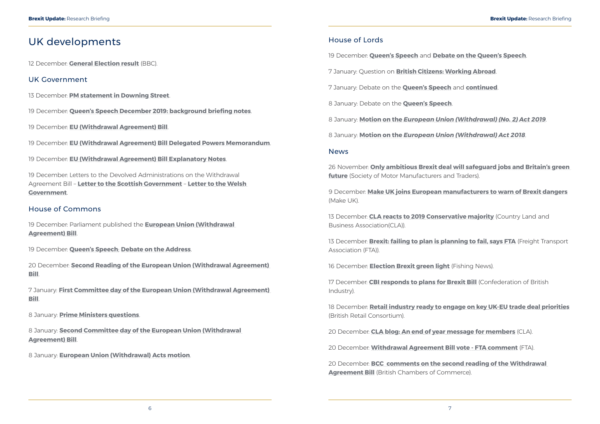# <span id="page-6-0"></span>UK developments

12 December: **[General Election result](https://www.bbc.co.uk/news/election/2019/results)** (BBC).

### UK Government

- 13 December: **[PM statement in Downing Street](https://www.gov.uk/government/speeches/pm-statement-in-downing-street-13-december-2019)**.
- 19 December: **[Queen's Speech December 2019: background briefing notes](https://assets.publishing.service.gov.uk/government/uploads/system/uploads/attachment_data/file/853886/Queen_s_Speech_December_2019_-_background_briefing_notes.pdf)**.
- 19 December: **[EU \(Withdrawal Agreement\) Bill](https://publications.parliament.uk/pa/bills/cbill/58-01/0001/20001.pdf)**.

19 December: **[EU \(Withdrawal Agreement\) Bill Delegated Powers Memorandum](https://assets.publishing.service.gov.uk/government/uploads/system/uploads/attachment_data/file/854227/EU__Withdrawal_Agreement__Bill_-_Delegated_Powers_Memorandum.pdf)**.

19 December: **[EU \(Withdrawal Agreement\) Bill Explanatory Notes](https://publications.parliament.uk/pa/bills/cbill/58-01/0001/en/20001en.pdf)**.

19 December: Letters to the Devolved Administrations on the Withdrawal Agreement Bill – **[Letter to the Scottish Government](https://assets.publishing.service.gov.uk/government/uploads/system/uploads/attachment_data/file/854322/OS-18122019-LCM_letter_DECEMBER_-_SG__1_.pdf)** – **[Letter to the Welsh](https://assets.publishing.service.gov.uk/government/uploads/system/uploads/attachment_data/file/854323/OS-18122019-LCM_letter_DECEMBER_-_WG__1_.pdf)  [Government](https://assets.publishing.service.gov.uk/government/uploads/system/uploads/attachment_data/file/854323/OS-18122019-LCM_letter_DECEMBER_-_WG__1_.pdf)**.

### House of Commons

19 December: Parliament published the **[European Union \(Withdrawal](https://publications.parliament.uk/pa/bills/cbill/58-01/0001/20001.pdf)  [Agreement\) Bill](https://publications.parliament.uk/pa/bills/cbill/58-01/0001/20001.pdf)**.

19 December: **[Queen's Speech](https://hansard.parliament.uk/commons/2019-12-19/debates/04F97B9D-C5E5-4253-96BE-9E7B17F775B1/Queen’SSpeech)**; **[Debate on the Address](https://hansard.parliament.uk/commons/2019-12-19/debates/66EEE94D-F200-4889-90AC-5EE34753AC3E/DebateOnTheAddress)**.

20 December: **[Second Reading of the European Union \(Withdrawal Agreement\)](https://hansard.parliament.uk/commons/2019-12-20/debates/FE5B9762-F298-457B-8306-98D2D1D3519B/EuropeanUnion(WithdrawalAgreement)Bill)  [Bill](https://hansard.parliament.uk/commons/2019-12-20/debates/FE5B9762-F298-457B-8306-98D2D1D3519B/EuropeanUnion(WithdrawalAgreement)Bill)**.

7 January: **[First Committee day of the European Union \(Withdrawal Agreement\)](https://hansard.parliament.uk/commons/2020-01-07/debates/C5ADC5C3-0008-4CBB-81D6-717666FC7C4B/EuropeanUnion(WithdrawalAgreement)Bill)  [Bill](https://hansard.parliament.uk/commons/2020-01-07/debates/C5ADC5C3-0008-4CBB-81D6-717666FC7C4B/EuropeanUnion(WithdrawalAgreement)Bill)**.

8 January: **[Prime Ministers questions](https://hansard.parliament.uk/commons/2020-01-08/debates/E6EBBCF4-DA73-4E01-980C-3EBC01EE2DB3/Engagements)**.

8 January: **[Second Committee day of the European Union \(Withdrawal](https://hansard.parliament.uk/commons/2020-01-08/debates/4E741301-D874-401D-BC87-F023AAB86B49/EuropeanUnion(WithdrawalAgreement)Bill)  [Agreement\) Bill](https://hansard.parliament.uk/commons/2020-01-08/debates/4E741301-D874-401D-BC87-F023AAB86B49/EuropeanUnion(WithdrawalAgreement)Bill)**.

8 January: **[European Union \(Withdrawal\) Acts motion](https://hansard.parliament.uk/commons/2020-01-08/debates/1B353E6C-099E-4573-A5CC-D03948221CE1/EuropeanUnion(Withdrawal)Acts)**.

### House of Lords

19 December: **[Queen's Speech](https://hansard.parliament.uk/lords/2019-12-19/debates/C9EB1C3B-3551-473B-8C30-864B8B020409/Queen’SSpeech)** and **[Debate on the Queen's Speech](https://hansard.parliament.uk/lords/2019-12-19/debates/6C64A2EA-13E7-4F64-B068-367EFB7BB489/Queen’SSpeech)**. 7 January: Question on **[British Citizens: Working Abroad](https://hansard.parliament.uk/Lords/2020-01-07/debates/E85F68CB-CDD0-4FE2-8073-F65232E67DA3/BritishCitizensWorkingAbroad)**. 7 January: Debate on the **[Queen's Speech](https://hansard.parliament.uk/Lords/2020-01-07/debates/F94C76BC-6327-4A10-8B85-8F91DF03D8DF/Queen’SSpeech)** and **[continued](https://hansard.parliament.uk/Lords/2020-01-07/debates/4BE7E619-C7ED-43E2-B7C7-0BB9D05B1EAF/Queen’SSpeech)**. 8 January: Debate on the **[Queen's Speech](https://hansard.parliament.uk/Lords/2020-01-08/debates/85320472-1F49-424F-81FE-691B0D3BF1F3/Queen’SSpeech)**. 8 January: **Motion on the** *[European Union \(Withdrawal\) \(No. 2\) Act 2019](https://hansard.parliament.uk/Lords/2020-01-08/debates/349DE614-4488-4A24-A619-05AC3FC8B5CB/EuropeanUnion(Withdrawal)(No2)Act2019)*. 8 January: **Motion on the** *[European Union \(Withdrawal\) Act 2018](https://hansard.parliament.uk/Lords/2020-01-08/debates/D53F7F09-36D5-418A-B01D-13F87CFD3A4F/EuropeanUnion(Withdrawal)Act2018)*. News 26 November: **[Only ambitious Brexit deal will safeguard jobs and Britain's green](https://www.smmt.co.uk/2019/11/only-ambitious-brexit-deal-will-safeguard-jobs-and-britains-green-future/)  [future](https://www.smmt.co.uk/2019/11/only-ambitious-brexit-deal-will-safeguard-jobs-and-britains-green-future/)** (Society of Motor Manufacturers and Traders). 9 December: **[Make UK joins European manufacturers to warn of Brexit dangers](https://www.makeuk.org/news-and-events/news/2019/12/09/make-uk-joins-european-manufacturers-to-warn-of-brexit-dangers)** (Make UK). 13 December: **[CLA reacts to 2019 Conservative majority](https://www.cla.org.uk/cla-reacts-2019-conservative-majority-result)** (Country Land and Business Association(CLA)). 13 December: **[Brexit: failing to plan is planning to fail, says FTA](https://fta.co.uk/media/press-releases/2019/december/brext-failing-to-plan-is-planning-to-fail-says-fta)** (Freight Transport Association (FTA)). 16 December: **[Election Brexit green light](https://fishingnews.co.uk/news/election-brexit-green-light/)** (Fishing News). 17 December: **[CBI responds to plans for Brexit Bill](https://www.cbi.org.uk/media-centre/articles/cbi-responds-to-plans-for-brexit-bill/)** (Confederation of British Industry).

18 December: **[Retail industry ready to engage on key UK-EU trade deal priorities](https://brc.org.uk/news/brexit/retail-industry-ready-to-engage-on-key-uk-eu-trade-deal-priorities)** (British Retail Consortium).

20 December: **[CLA blog: An end of year message for members](https://www.cla.org.uk/end-year-message-members)** (CLA).

20 December: **[Withdrawal Agreement Bill vote - FTA comment](https://fta.co.uk/media/press-releases/2019/december/today-s-withdrawal-agreement-bill-vote-fta-comment)** (FTA).

20 December: **[BCC comments on the second reading of the](https://www.britishchambers.org.uk/news/2019/12/bcc-comments-on-the-second-reading-of-the-withdrawal-agreement-bill-2) Withdrawal [Agreement Bill](https://www.britishchambers.org.uk/news/2019/12/bcc-comments-on-the-second-reading-of-the-withdrawal-agreement-bill-2)** (British Chambers of Commerce).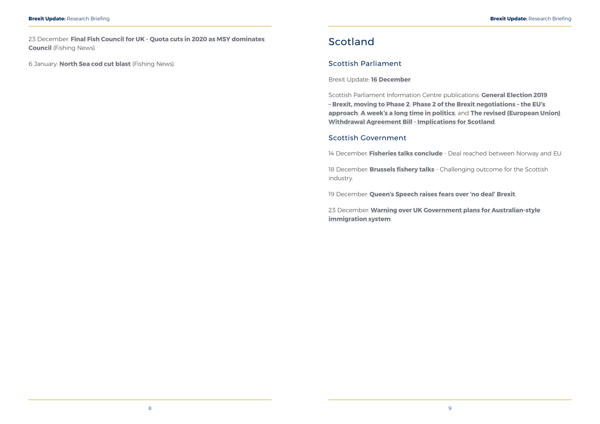<span id="page-7-0"></span>23 December: **[Final Fish Council for UK - Quota cuts in 2020 as MSY dominates](https://fishingnews.co.uk/news/final-fish-council-for-uk/)  [Council](https://fishingnews.co.uk/news/final-fish-council-for-uk/)** (Fishing News).

6 January: **[North Sea cod cut blast](https://fishingnews.co.uk/news/north-sea-cod-cut-blast/)** (Fishing News).

# Scotland

### Scottish Parliament

Brexit Update: **[16 December](https://www.parliament.scot/SPICeResources/Research%20briefings%20and%20fact%20sheets/SPICe_Brexit_update_2019.12.16.pdf)**.

Scottish Parliament Information Centre publications: **[General Election 2019](https://spice-spotlight.scot/2019/12/13/general-election-2019-brexit-moving-to-phase-2/)  [– Brexit, moving to Phase 2](https://spice-spotlight.scot/2019/12/13/general-election-2019-brexit-moving-to-phase-2/)**; **[Phase 2 of the Brexit negotiations – the EU's](https://spice-spotlight.scot/2019/12/16/phase-2-of-the-brexit-negotiations-the-eus-approach/)  [approach](https://spice-spotlight.scot/2019/12/16/phase-2-of-the-brexit-negotiations-the-eus-approach/)**; **[A week's a long time in politics](https://spice-spotlight.scot/2019/12/19/a-weeks-a-long-time-in-politics/)**; and **[The revised \(European Union\)](https://digitalpublications.parliament.scot/ResearchBriefings/Report/2020/1/6/The-revised--European-Union--Withdrawal-Agreement-Bill---Implications-for-Scotland)  [Withdrawal Agreement Bill - Implications for Scotland](https://digitalpublications.parliament.scot/ResearchBriefings/Report/2020/1/6/The-revised--European-Union--Withdrawal-Agreement-Bill---Implications-for-Scotland)**.

### Scottish Government

14 December: **[Fisheries talks conclude](https://www.gov.scot/news/fisheries-talks-conclude-2/)** - Deal reached between Norway and EU.

18 December: **[Brussels fishery talks](https://www.gov.scot/news/brussels-fishery-talks/)** - Challenging outcome for the Scottish industry.

19 December: **[Queen's Speech raises fears over 'no deal' Brexit](https://www.gov.scot/news/queens-speech-raises-fears-over-no-deal-brexit/)**.

23 December: **[Warning over UK Government plans for Australian-style](https://www.gov.scot/news/warning-over-uk-government-plans-for-australian-style-immigration-system/)  [immigration system](https://www.gov.scot/news/warning-over-uk-government-plans-for-australian-style-immigration-system/)**.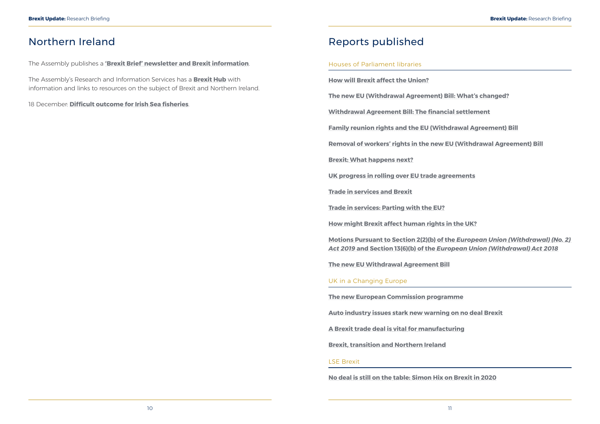# <span id="page-8-0"></span>Northern Ireland

The Assembly publishes a **['Brexit Brief' newsletter and Brexit information](http://www.niassembly.gov.uk/assembly-business/brexit-brief/)**.

The Assembly's Research and Information Services has a **[Brexit Hub](http://www.niassembly.gov.uk/assembly-business/research-and-information-service-raise/brexit-and-ni/)** with information and links to resources on the subject of Brexit and Northern Ireland.

18 December: **[Difficult outcome for Irish Sea fisheries](https://www.daera-ni.gov.uk/news/difficult-outcome-irish-sea-fisheries)**.

# Reports published

### Houses of Parliament libraries

**[How will Brexit affect the Union?](https://commonslibrary.parliament.uk/parliament-and-elections/devolution/how-will-brexit-affect-the-union/)**

**[The new EU \(Withdrawal Agreement\) Bill: What's changed?](https://commonslibrary.parliament.uk/brexit/legislation/the-new-eu-withdrawal-agreement-bill-whats-changed/)**

**[Withdrawal Agreement Bill: The financial settlement](https://commonslibrary.parliament.uk/brexit/the-eu/withdrawal-agreement-bill-the-financial-settlement/)**

**[Family reunion rights and the EU \(Withdrawal Agreement\) Bill](https://commonslibrary.parliament.uk/brexit/negotiations/family-reunion-rights-and-the-eu-withdrawal-agreement-bill/)**

**[Removal of workers' rights in the new EU \(Withdrawal Agreement\) Bill](https://commonslibrary.parliament.uk/brexit/legislation/workers-rights-and-the-new-eu-withdrawal-agreement-bill/)**

**[Brexit: What happens next?](https://commonslibrary.parliament.uk/brexit/negotiations/brexit-what-happens-next/)**

**[UK progress in rolling over EU trade agreements](https://researchbriefings.files.parliament.uk/documents/CBP-7792/CBP-7792.pdf)**

**[Trade in services and Brexit](https://researchbriefings.parliament.uk/ResearchBriefing/Summary/CBP-8586)**

**[Trade in services: Parting with the EU?](https://commonslibrary.parliament.uk/insights/trade-in-services-parting-with-the-eu/)**

**[How might Brexit affect human rights in the UK?](https://commonslibrary.parliament.uk/brexit/how-might-brexit-affect-human-rights-in-the-uk/)**

**[Motions Pursuant to Section 2\(2\)\(b\) of the](https://researchbriefings.parliament.uk/ResearchBriefing/Summary/LLN-2020-0005)** *European Union (Withdrawal) (No. 2) Act 2019* **and Section 13(6)(b) of the** *[European Union \(Withdrawal\) Act 2018](https://researchbriefings.parliament.uk/ResearchBriefing/Summary/LLN-2020-0005)*

**[The new EU Withdrawal Agreement Bill](https://researchbriefings.parliament.uk/ResearchBriefing/Summary/CBP-8776)**

### UK in a Changing Europe

**[The new European Commission programme](https://ukandeu.ac.uk/the-new-european-commission-programme/) [Auto industry issues stark new warning on no deal Brexit](https://ukandeu.ac.uk/auto-industry-issues-stark-new-warning-on-no-deal-brexit/) [A Brexit trade deal is vital for manufacturing](https://ukandeu.ac.uk/a-brexit-trade-deal-is-vital-for-manufacturing/) [Brexit, transition and Northern Ireland](https://ukandeu.ac.uk/brexit-transition-and-northern-ireland/)**

### LSE Brexit

**[No deal is still on the table: Simon Hix on Brexit in 2020](https://blogs.lse.ac.uk/brexit/2019/12/31/no-deal-is-still-on-the-table-simon-hix-on-brexit-in-2020/)**